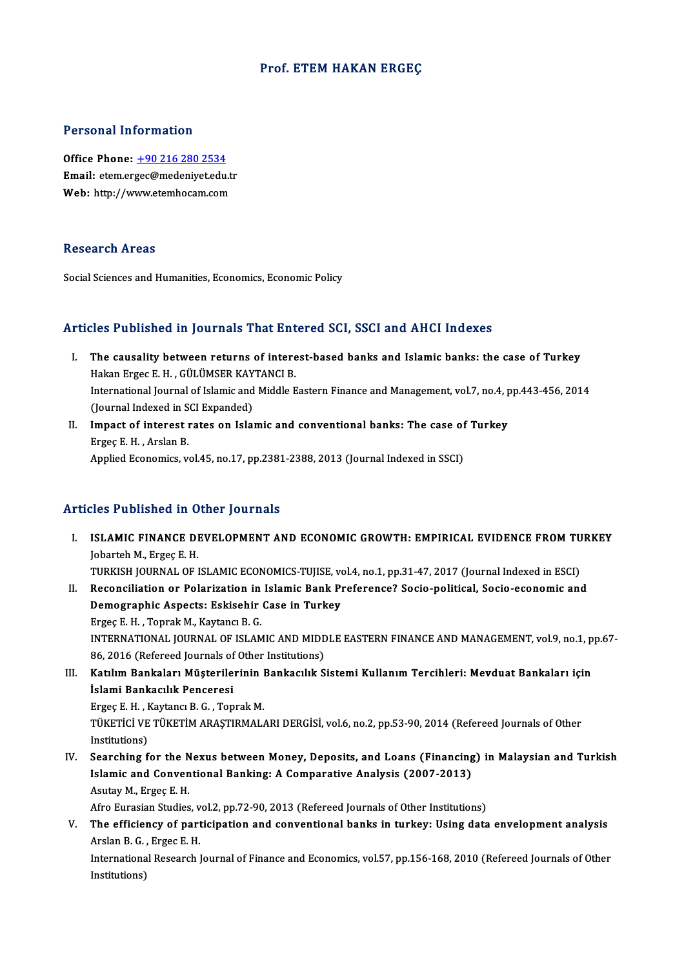## Prof. ETEM HAKAN ERGEC

#### Personal Information

Office Phone: +90 216 280 2534 Procedulation interest<br>Office Phone: <u>+90 216 280 2534</u><br>Email: etem.er[gec@medeniyet.edu](tel:+90 216 280 2534).tr Office Phone: <u>+90 216 280 2534</u><br>Email: etem.ergec@medeniyet.edu.t<br>Web: http://www.etemhocam.com Web: http://www.etemhocam.com<br>Research Areas

Social Sciences and Humanities, Economics, Economic Policy

## Articles Published in Journals That Entered SCI, SSCI and AHCI Indexes

- rticles Published in Journals That Entered SCI, SSCI and AHCI Indexes<br>I. The causality between returns of interest-based banks and Islamic banks: the case of Turkey<br>Helten Exces E.H., CULUNSER KAVTANCLE The causality between returns of interesting<br>Hakan Ergec E. H. , GÜLÜMSER KAYTANCI B.<br>International Journal of Jalamic and Middle E The causality between returns of interest-based banks and Islamic banks: the case of Turkey<br>Hakan Ergec E. H. , GÜLÜMSER KAYTANCI B.<br>International Journal of Islamic and Middle Eastern Finance and Management, vol.7, no.4, Hakan Ergec E. H. , GÜLÜMSER KAY<br>International Journal of Islamic and<br>(Journal Indexed in SCI Expanded)<br>Imnast of interest rates on Jola International Journal of Islamic and Middle Eastern Finance and Management, vol.7, no.4, pp.443-456, 2014<br>(Journal Indexed in SCI Expanded)<br>II. Impact of interest rates on Islamic and conventional banks: The case of Turkey
- (Journal Indexed in S<br>**Impact of interest i**<br>Ergeç E. H. , Arslan B.<br>Annlied Esenemise ... Applied Economics, vol.45, no.17, pp.2381-2388, 2013 (Journal Indexed in SSCI)

## Articles Published in Other Journals

I. ISLAMIC FINANCE DEVELOPMENT AND ECONOMIC GROWTH: EMPIRICAL EVIDENCE FROMTURKEY ISLAMIC FINANCE DI<br>Jobarteh M., Ergeç E. H.<br>TURKISH JOURNAL OF L ISLAMIC FINANCE DEVELOPMENT AND ECONOMIC GROWTH: EMPIRICAL EVIDENCE FROM TU<br>Jobarteh M., Ergeç E. H.<br>TURKISH JOURNAL OF ISLAMIC ECONOMICS-TUJISE, vol.4, no.1, pp.31-47, 2017 (Journal Indexed in ESCI)<br>Beconojlistion or Bola Jobarteh M., Ergeç E. H.<br>TURKISH JOURNAL OF ISLAMIC ECONOMICS-TUJISE, vol.4, no.1, pp.31-47, 2017 (Journal Indexed in ESCI)<br>II. Reconciliation or Polarization in Islamic Bank Preference? Socio-political, Socio-economic and TURKISH JOURNAL OF ISLAMIC ECONOMICS-TUJISE, vo<br>Reconciliation or Polarization in Islamic Bank P1<br>Demographic Aspects: Eskisehir Case in Turkey<br>Frace E. H., Tonrek M., Kautang P. C

II. Reconciliation or Polarization in Islamic Bank Preference? Socio-political, Socio-economic and<br>Demographic Aspects: Eskisehir Case in Turkey<br>Ergeç E. H., Toprak M., Kaytancı B. G. Demographic Aspects: Eskisehir Case in Turkey<br>Ergeç E. H. , Toprak M., Kaytancı B. G.<br>INTERNATIONAL JOURNAL OF ISLAMIC AND MIDDLE EASTERN FINANCE AND MANAGEMENT, vol.9, no.1, pp.67-<br>96, 2016 (Refereed Journale of Other Ins Ergeç E. H. , Toprak M., Kaytancı B. G.<br>INTERNATIONAL JOURNAL OF ISLAMIC AND MIDE<br>86, 2016 (Refereed Journals of Other Institutions)<br>Katılım Bankaları Müstarilerinin Bankasılık S INTERNATIONAL JOURNAL OF ISLAMIC AND MIDDLE EASTERN FINANCE AND MANAGEMENT, vol.9, no.1, p<br>86, 2016 (Refereed Journals of Other Institutions)<br>III. Katılım Bankaları Müşterilerinin Bankacılık Sistemi Kullanım Tercihleri: Me

86, 2016 (Refereed Journals of<br>Katılım Bankaları Müşterile<br>İslami Bankacılık Penceresi<br>Frase E.H., Kaytang P.G., Ten Katılım Bankaları Müşterilerinin l<br>İslami Bankacılık Penceresi<br>Ergeç E. H. , Kaytancı B. G. , Toprak M.<br>Tüverici ve TüveriM ABASTIPMAL

İslami Bankacılık Penceresi<br>Ergeç E. H. , Kaytancı B. G. , Toprak M.<br>TÜKETİCİ VE TÜKETİM ARAŞTIRMALARI DERGİSİ, vol.6, no.2, pp.53-90, 2014 (Refereed Journals of Other<br>Institutione) Ergeç E. H. , I<br>TÜKETİCİ VE<br>Institutions)<br>Searshing f

Institutions)<br>IV. Searching for the Nexus between Money, Deposits, and Loans (Financing) in Malaysian and Turkish Institutions)<br>Searching for the Nexus between Money, Deposits, and Loans (Financing<br>Islamic and Conventional Banking: A Comparative Analysis (2007-2013)<br>Asutav M. Erges E. H Searching for the N<br>Islamic and Conven<br>Asutay M., Ergeç E. H.<br>Afre Euresian Studies Islamic and Conventional Banking: A Comparative Analysis (2007-2013)<br>Asutay M., Ergeç E. H.<br>Afro Eurasian Studies, vol.2, pp.72-90, 2013 (Refereed Journals of Other Institutions)<br>The efficiency of perticipation and convent

Asutay M., Ergeç E. H.<br>Afro Eurasian Studies, vol.2, pp.72-90, 2013 (Refereed Journals of Other Institutions)<br>V. The efficiency of participation and conventional banks in turkey: Using data envelopment analysis<br>Arclap B. G Afro Eurasian Studies, v<br>The efficiency of part<br>Arslan B. G. , Ergec E. H.<br>International Bessench l The efficiency of participation and conventional banks in turkey: Using data envelopment analysis<br>Arslan B. G. , Ergec E. H.<br>International Research Journal of Finance and Economics, vol.57, pp.156-168, 2010 (Refereed Journ

Arslan B. G. , Ergec E. H.<br>International Research Journal of Finance and Economics, vol.57, pp.156-168, 2010 (Refereed Journals of Other<br>Institutions)